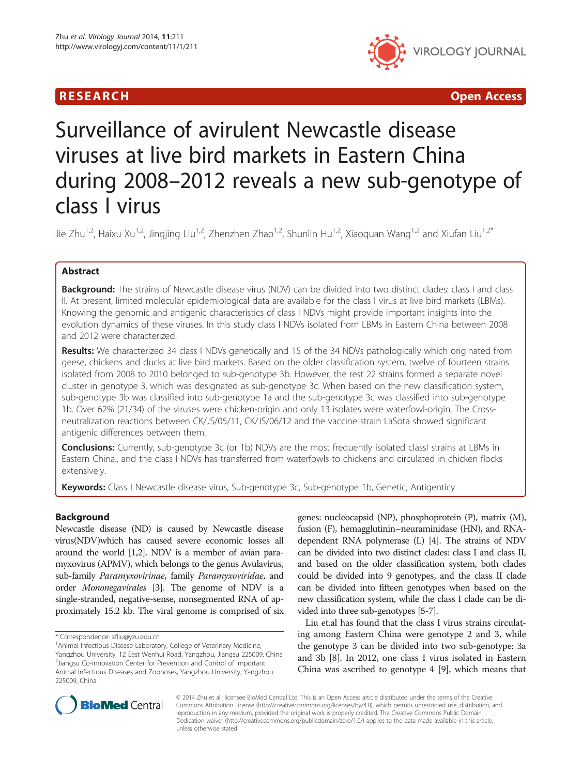



# Surveillance of avirulent Newcastle disease viruses at live bird markets in Eastern China during 2008–2012 reveals a new sub-genotype of class I virus

Jie Zhu<sup>1,2</sup>, Haixu Xu<sup>1,2</sup>, Jingjing Liu<sup>1,2</sup>, Zhenzhen Zhao<sup>1,2</sup>, Shunlin Hu<sup>1,2</sup>, Xiaoguan Wang<sup>1,2</sup> and Xiufan Liu<sup>1,2\*</sup>

# Abstract

**Background:** The strains of Newcastle disease virus (NDV) can be divided into two distinct clades: class I and class II. At present, limited molecular epidemiological data are available for the class I virus at live bird markets (LBMs). Knowing the genomic and antigenic characteristics of class I NDVs might provide important insights into the evolution dynamics of these viruses. In this study class I NDVs isolated from LBMs in Eastern China between 2008 and 2012 were characterized.

Results: We characterized 34 class I NDVs genetically and 15 of the 34 NDVs pathologically which originated from geese, chickens and ducks at live bird markets. Based on the older classification system, twelve of fourteen strains isolated from 2008 to 2010 belonged to sub-genotype 3b. However, the rest 22 strains formed a separate novel cluster in genotype 3, which was designated as sub-genotype 3c. When based on the new classification system, sub-genotype 3b was classified into sub-genotype 1a and the sub-genotype 3c was classified into sub-genotype 1b. Over 62% (21/34) of the viruses were chicken-origin and only 13 isolates were waterfowl-origin. The Crossneutralization reactions between CK/JS/05/11, CK/JS/06/12 and the vaccine strain LaSota showed significant antigenic differences between them.

**Conclusions:** Currently, sub-genotype 3c (or 1b) NDVs are the most frequently isolated classI strains at LBMs in Eastern China., and the class I NDVs has transferred from waterfowls to chickens and circulated in chicken flocks extensively.

Keywords: Class I Newcastle disease virus, Sub-genotype 3c, Sub-genotype 1b, Genetic, Antigenticy

# Background

Newcastle disease (ND) is caused by Newcastle disease virus(NDV)which has caused severe economic losses all around the world [\[1,2\]](#page-8-0). NDV is a member of avian paramyxovirus (APMV), which belongs to the genus Avulavirus, sub-family Paramyxovirinae, family Paramyxoviridae, and order Mononegavirales [\[3\]](#page-8-0). The genome of NDV is a single-stranded, negative-sense, nonsegmented RNA of approximately 15.2 kb. The viral genome is comprised of six genes: nucleocapsid (NP), phosphoprotein (P), matrix (M), fusion (F), hemagglutinin–neuraminidase (HN), and RNAdependent RNA polymerase (L) [[4\]](#page-8-0). The strains of NDV can be divided into two distinct clades: class I and class II, and based on the older classification system, both clades could be divided into 9 genotypes, and the class II clade can be divided into fifteen genotypes when based on the new classification system, while the class I clade can be divided into three sub-genotypes [[5](#page-8-0)-[7\]](#page-8-0).

Liu et.al has found that the class I virus strains circulating among Eastern China were genotype 2 and 3, while the genotype 3 can be divided into two sub-genotype: 3a and 3b [\[8](#page-8-0)]. In 2012, one class I virus isolated in Eastern China was ascribed to genotype 4 [[9](#page-8-0)], which means that



© 2014 Zhu et al.; licensee BioMed Central Ltd. This is an Open Access article distributed under the terms of the Creative Commons Attribution License [\(http://creativecommons.org/licenses/by/4.0\)](http://creativecommons.org/licenses/by/4.0), which permits unrestricted use, distribution, and reproduction in any medium, provided the original work is properly credited. The Creative Commons Public Domain Dedication waiver [\(http://creativecommons.org/publicdomain/zero/1.0/](http://creativecommons.org/publicdomain/zero/1.0/)) applies to the data made available in this article, unless otherwise stated.

<sup>\*</sup> Correspondence: [xfliu@yzu.edu.cn](mailto:xfliu@yzu.edu.cn) <sup>1</sup>

<sup>&</sup>lt;sup>1</sup> Animal Infectious Disease Laboratory, College of Veterinary Medicine, Yangzhou University, 12 East Wenhui Road, Yangzhou, Jiangsu 225009, China 2 Jiangsu Co-innovation Center for Prevention and Control of Important Animal Infectious Diseases and Zoonoses, Yangzhou University, Yangzhou 225009, China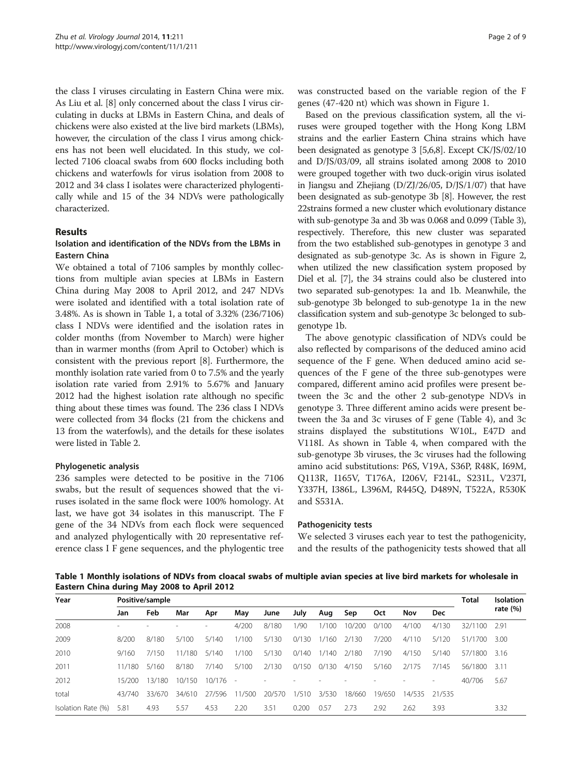<span id="page-1-0"></span>the class I viruses circulating in Eastern China were mix. As Liu et al. [\[8](#page-8-0)] only concerned about the class I virus circulating in ducks at LBMs in Eastern China, and deals of chickens were also existed at the live bird markets (LBMs), however, the circulation of the class I virus among chickens has not been well elucidated. In this study, we collected 7106 cloacal swabs from 600 flocks including both chickens and waterfowls for virus isolation from 2008 to 2012 and 34 class I isolates were characterized phylogentically while and 15 of the 34 NDVs were pathologically characterized.

## Results

# Isolation and identification of the NDVs from the LBMs in Eastern China

We obtained a total of 7106 samples by monthly collections from multiple avian species at LBMs in Eastern China during May 2008 to April 2012, and 247 NDVs were isolated and identified with a total isolation rate of 3.48%. As is shown in Table 1, a total of 3.32% (236/7106) class I NDVs were identified and the isolation rates in colder months (from November to March) were higher than in warmer months (from April to October) which is consistent with the previous report [\[8](#page-8-0)]. Furthermore, the monthly isolation rate varied from 0 to 7.5% and the yearly isolation rate varied from 2.91% to 5.67% and January 2012 had the highest isolation rate although no specific thing about these times was found. The 236 class I NDVs were collected from 34 flocks (21 from the chickens and 13 from the waterfowls), and the details for these isolates were listed in Table [2](#page-2-0).

### Phylogenetic analysis

236 samples were detected to be positive in the 7106 swabs, but the result of sequences showed that the viruses isolated in the same flock were 100% homology. At last, we have got 34 isolates in this manuscript. The F gene of the 34 NDVs from each flock were sequenced and analyzed phylogentically with 20 representative reference class I F gene sequences, and the phylogentic tree

was constructed based on the variable region of the F genes (47-420 nt) which was shown in Figure [1.](#page-3-0)

Based on the previous classification system, all the viruses were grouped together with the Hong Kong LBM strains and the earlier Eastern China strains which have been designated as genotype 3 [\[5,6,8\]](#page-8-0). Except CK/JS/02/10 and D/JS/03/09, all strains isolated among 2008 to 2010 were grouped together with two duck-origin virus isolated in Jiangsu and Zhejiang (D/ZJ/26/05, D/JS/1/07) that have been designated as sub-genotype 3b [\[8\]](#page-8-0). However, the rest 22strains formed a new cluster which evolutionary distance with sub-genotype 3a and 3b was 0.068 and 0.099 (Table [3](#page-4-0)), respectively. Therefore, this new cluster was separated from the two established sub-genotypes in genotype 3 and designated as sub-genotype 3c. As is shown in Figure [2](#page-5-0), when utilized the new classification system proposed by Diel et al. [[7](#page-8-0)], the 34 strains could also be clustered into two separated sub-genotypes: 1a and 1b. Meanwhile, the sub-genotype 3b belonged to sub-genotype 1a in the new classification system and sub-genotype 3c belonged to subgenotype 1b.

The above genotypic classification of NDVs could be also reflected by comparisons of the deduced amino acid sequence of the F gene. When deduced amino acid sequences of the F gene of the three sub-genotypes were compared, different amino acid profiles were present between the 3c and the other 2 sub-genotype NDVs in genotype 3. Three different amino acids were present between the 3a and 3c viruses of F gene (Table [4\)](#page-6-0), and 3c strains displayed the substitutions W10L, E47D and V118I. As shown in Table [4,](#page-6-0) when compared with the sub-genotype 3b viruses, the 3c viruses had the following amino acid substitutions: P6S, V19A, S36P, R48K, I69M, Q113R, I165V, T176A, I206V, F214L, S231L, V237I, Y337H, I386L, L396M, R445Q, D489N, T522A, R530K and S531A.

#### Pathogenicity tests

We selected 3 viruses each year to test the pathogenicity, and the results of the pathogenicity tests showed that all

Table 1 Monthly isolations of NDVs from cloacal swabs of multiple avian species at live bird markets for wholesale in Eastern China during May 2008 to April 2012

| Year               |        | Positive/sample |        |            |        |        |       |       |        |        |        |            |         |             |  |  |
|--------------------|--------|-----------------|--------|------------|--------|--------|-------|-------|--------|--------|--------|------------|---------|-------------|--|--|
|                    | Jan    | Feb             | Mar    | Apr        | May    | June   | July  | Aug   | Sep    | Oct    | Nov    | <b>Dec</b> |         | rate $(\%)$ |  |  |
| 2008               |        |                 |        |            | 4/200  | 8/180  | 1/90  | 1/100 | 10/200 | 0/100  | 4/100  | 4/130      | 32/1100 | 2.91        |  |  |
| 2009               | 8/200  | 8/180           | 5/100  | 5/140      | 1/100  | 5/130  | 0/130 | 1/160 | 2/130  | 7/200  | 4/110  | 5/120      | 51/1700 | 3.00        |  |  |
| 2010               | 9/160  | 7/150           | 11/180 | 5/140      | 1/100  | 5/130  | 0/140 | 1/140 | 2/180  | 7/190  | 4/150  | 5/140      | 57/1800 | 3.16        |  |  |
| 2011               | 11/180 | 5/160           | 8/180  | 7/140      | 5/100  | 2/130  | 0/150 | 0/130 | 4/150  | 5/160  | 2/175  | 7/145      | 56/1800 | 3.11        |  |  |
| 2012               | 15/200 | 13/180          | 10/150 | $10/176 -$ |        |        |       |       |        |        |        |            | 40/706  | 5.67        |  |  |
| total              | 43/740 | 33/670          | 34/610 | 27/596     | 11/500 | 20/570 | 1/510 | 3/530 | 18/660 | 19/650 | 14/535 | 21/535     |         |             |  |  |
| Isolation Rate (%) | 5.81   | 4.93            | 5.57   | 4.53       | 2.20   | 3.51   | 0.200 | 0.57  | 2.73   | 2.92   | 2.62   | 3.93       |         | 3.32        |  |  |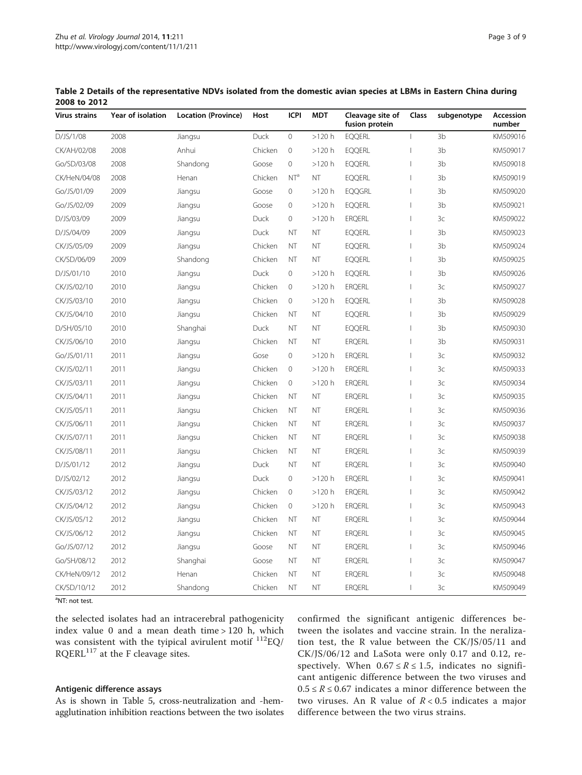| <b>Virus strains</b> | Year of isolation | Location (Province) | Host        | <b>ICPI</b>         | <b>MDT</b> | Cleavage site of<br>fusion protein | Class                          | subgenotype    | Accession<br>number |
|----------------------|-------------------|---------------------|-------------|---------------------|------------|------------------------------------|--------------------------------|----------------|---------------------|
| D/JS/1/08            | 2008              | Jiangsu             | Duck        | $\circ$             | $>120$ h   | <b>EQQERL</b>                      | $\mathbf{I}$                   | 3 <sub>b</sub> | KM509016            |
| CK/AH/02/08          | 2008              | Anhui               | Chicken     | $\mathbf{0}$        | $>120$ h   | <b>EQQERL</b>                      | $\mathbf{I}$                   | 3 <sub>b</sub> | KM509017            |
| Go/SD/03/08          | 2008              | Shandong            | Goose       | $\overline{0}$      | $>120$ h   | <b>EQQERL</b>                      | $\overline{\phantom{a}}$       | 3 <sub>b</sub> | KM509018            |
| CK/HeN/04/08         | 2008              | Henan               | Chicken     | NT <sup>a</sup>     | <b>NT</b>  | <b>EQQERL</b>                      | $\mathbf{I}$                   | 3 <sub>b</sub> | KM509019            |
| Go/JS/01/09          | 2009              | Jiangsu             | Goose       | $\mathbf 0$         | $>120$ h   | <b>EQQGRL</b>                      | $\mathbf{I}$                   | 3b             | KM509020            |
| Go/JS/02/09          | 2009              | Jiangsu             | Goose       | $\mathbf 0$         | $>120$ h   | <b>EQQERL</b>                      | $\begin{array}{c} \end{array}$ | 3b             | KM509021            |
| D/JS/03/09           | 2009              | Jiangsu             | Duck        | $\overline{0}$      | $>120$ h   | <b>ERQERL</b>                      | $\mathbf{I}$                   | 3c             | KM509022            |
| D/JS/04/09           | 2009              | Jiangsu             | <b>Duck</b> | <b>NT</b>           | <b>NT</b>  | <b>EQQERL</b>                      | $\mathbf{I}$                   | 3 <sub>b</sub> | KM509023            |
| CK/JS/05/09          | 2009              | Jiangsu             | Chicken     | <b>NT</b>           | NT         | <b>EQQERL</b>                      | $\mathbf{I}$                   | 3b             | KM509024            |
| CK/SD/06/09          | 2009              | Shandong            | Chicken     | <b>NT</b>           | <b>NT</b>  | <b>EQQERL</b>                      | $\mathbf{I}$                   | 3 <sub>b</sub> | KM509025            |
| D/JS/01/10           | 2010              | Jiangsu             | Duck        | $\overline{0}$      | $>120$ h   | <b>EQQERL</b>                      | $\overline{\phantom{a}}$       | 3 <sub>b</sub> | KM509026            |
| CK/JS/02/10          | 2010              | Jiangsu             | Chicken     | $\mathbf 0$         | $>120$ h   | <b>ERQERL</b>                      | $\mathbf{I}$                   | 3 <sup>c</sup> | KM509027            |
| CK/JS/03/10          | 2010              | Jiangsu             | Chicken     | $\circ$             | $>120\ h$  | <b>EQQERL</b>                      | $\mathbf{I}$                   | 3b             | KM509028            |
| CK/JS/04/10          | 2010              | Jiangsu             | Chicken     | <b>NT</b>           | NT         | <b>EQQERL</b>                      | $\mathbf{I}$                   | 3b             | KM509029            |
| D/SH/05/10           | 2010              | Shanghai            | Duck        | NT                  | NT         | <b>EQQERL</b>                      | $\mathbf{I}$                   | 3 <sub>b</sub> | KM509030            |
| CK/JS/06/10          | 2010              | Jiangsu             | Chicken     | <b>NT</b>           | NT         | <b>ERQERL</b>                      | $\mathbf{I}$                   | 3b             | KM509031            |
| Go/JS/01/11          | 2011              | Jiangsu             | Gose        | $\overline{0}$      | $>120$ h   | <b>ERQERL</b>                      | $\overline{\phantom{a}}$       | 3 <sup>c</sup> | KM509032            |
| CK/JS/02/11          | 2011              | Jiangsu             | Chicken     | $\circ$             | $>120$ h   | <b>ERQERL</b>                      | $\overline{\phantom{a}}$       | 3c             | KM509033            |
| CK/JS/03/11          | 2011              | Jiangsu             | Chicken     | $\mathbf{0}$        | $>120$ h   | <b>ERQERL</b>                      | $\mathbf{I}$                   | 3 <sup>c</sup> | KM509034            |
| CK/JS/04/11          | 2011              | Jiangsu             | Chicken     | <b>NT</b>           | NT         | <b>ERQERL</b>                      | $\overline{\phantom{a}}$       | 3c             | KM509035            |
| CK/JS/05/11          | 2011              | Jiangsu             | Chicken     | <b>NT</b>           | <b>NT</b>  | <b>ERQERL</b>                      | $\mathbf{I}$                   | 3 <sup>c</sup> | KM509036            |
| CK/JS/06/11          | 2011              | Jiangsu             | Chicken     | <b>NT</b>           | NT         | <b>ERQERL</b>                      | $\mathbf{I}$                   | 3c             | KM509037            |
| CK/JS/07/11          | 2011              | Jiangsu             | Chicken     | <b>NT</b>           | NT         | <b>ERQERL</b>                      | $\mathbf{I}$                   | 3 <sup>c</sup> | KM509038            |
| CK/JS/08/11          | 2011              | Jiangsu             | Chicken     | <b>NT</b>           | NT         | <b>ERQERL</b>                      | $\overline{\phantom{a}}$       | 3c             | KM509039            |
| D/JS/01/12           | 2012              | Jiangsu             | <b>Duck</b> | <b>NT</b>           | <b>NT</b>  | <b>ERQERL</b>                      | $\mathbf{I}$                   | 3 <sup>c</sup> | KM509040            |
| D/JS/02/12           | 2012              | Jiangsu             | Duck        | $\mathsf{O}\xspace$ | $>120$ h   | <b>ERQERL</b>                      | $\overline{\phantom{a}}$       | 3 <sup>c</sup> | KM509041            |
| CK/JS/03/12          | 2012              | Jiangsu             | Chicken     | $\overline{0}$      | $>120$ h   | <b>ERQERL</b>                      | $\mathbf{I}$                   | 3 <sup>c</sup> | KM509042            |
| CK/JS/04/12          | 2012              | Jiangsu             | Chicken     | $\mathbf 0$         | $>120$ h   | <b>ERQERL</b>                      | $\overline{1}$                 | 3 <sup>c</sup> | KM509043            |
| CK/JS/05/12          | 2012              | Jiangsu             | Chicken     | <b>NT</b>           | NT         | <b>ERQERL</b>                      | $\overline{\phantom{a}}$       | 3 <sup>c</sup> | KM509044            |
| CK/JS/06/12          | 2012              | Jiangsu             | Chicken     | <b>NT</b>           | <b>NT</b>  | <b>ERQERL</b>                      | $\mathbf{I}$                   | 3 <sup>c</sup> | KM509045            |
| Go/JS/07/12          | 2012              | Jiangsu             | Goose       | <b>NT</b>           | NT         | <b>ERQERL</b>                      | $\mathbf{I}$                   | 3c             | KM509046            |
| Go/SH/08/12          | 2012              | Shanghai            | Goose       | <b>NT</b>           | <b>NT</b>  | <b>ERQERL</b>                      | $\overline{1}$                 | 3c             | KM509047            |
| CK/HeN/09/12         | 2012              | Henan               | Chicken     | <b>NT</b>           | NT         | <b>ERQERL</b>                      | $\overline{\phantom{a}}$       | 3c             | KM509048            |
| CK/SD/10/12          | 2012              | Shandong            | Chicken     | <b>NT</b>           | <b>NT</b>  | <b>ERQERL</b>                      | $\mathbf{I}$                   | 3c             | KM509049            |

<span id="page-2-0"></span>Table 2 Details of the representative NDVs isolated from the domestic avian species at LBMs in Eastern China during 2008 to 2012

<sup>a</sup>NT: not test.

the selected isolates had an intracerebral pathogenicity index value 0 and a mean death time > 120 h, which was consistent with the tyipical avirulent motif  $^{112}$ EQ/ RQERL<sup>117</sup> at the F cleavage sites.

## Antigenic difference assays

As is shown in Table [5](#page-7-0), cross-neutralization and -hemagglutination inhibition reactions between the two isolates confirmed the significant antigenic differences between the isolates and vaccine strain. In the neralization test, the R value between the CK/JS/05/11 and CK/JS/06/12 and LaSota were only 0.17 and 0.12, respectively. When  $0.67 \le R \le 1.5$ , indicates no significant antigenic difference between the two viruses and  $0.5 \le R \le 0.67$  indicates a minor difference between the two viruses. An R value of  $R < 0.5$  indicates a major difference between the two virus strains.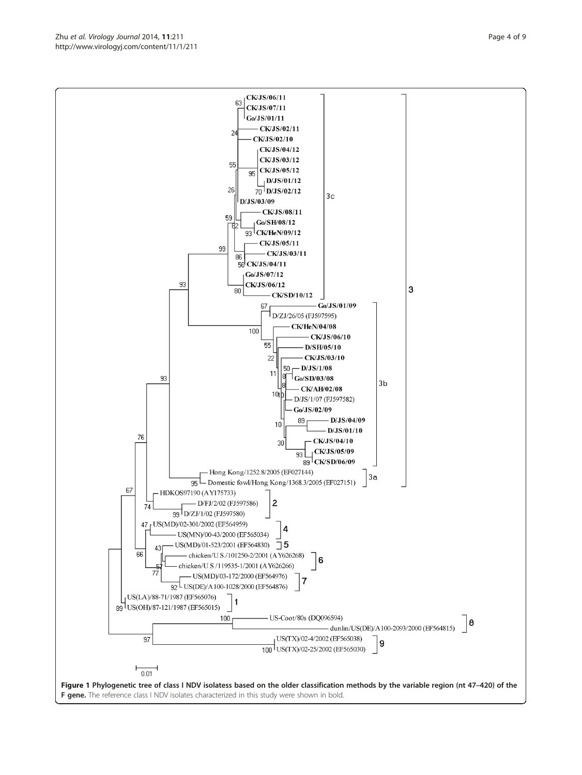F gene. The reference class I NDV isolates characterized in this study were shown in bold.

<span id="page-3-0"></span>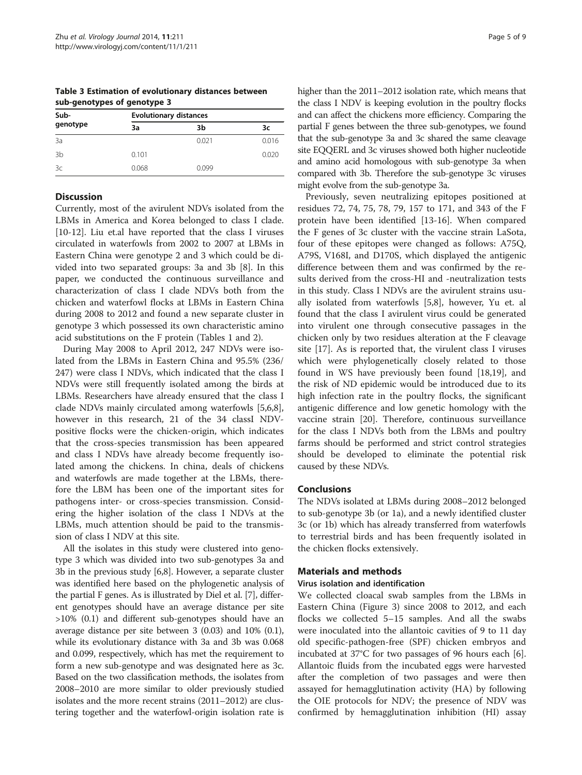| --- g---- y p -- - - g---- y p - - |                               |       |       |  |  |  |  |  |  |  |
|------------------------------------|-------------------------------|-------|-------|--|--|--|--|--|--|--|
| Sub-                               | <b>Evolutionary distances</b> |       |       |  |  |  |  |  |  |  |
| genotype                           | За                            | 3b    | 3c    |  |  |  |  |  |  |  |
| 3a                                 |                               | 0.021 | 0.016 |  |  |  |  |  |  |  |
| 3b                                 | 0.101                         |       | 0.020 |  |  |  |  |  |  |  |
| 3c                                 | 0.068                         | 0.099 |       |  |  |  |  |  |  |  |

<span id="page-4-0"></span>Table 3 Estimation of evolutionary distances between sub-genotypes of genotype 3

# **Discussion**

Currently, most of the avirulent NDVs isolated from the LBMs in America and Korea belonged to class I clade. [[10-12](#page-8-0)]. Liu et.al have reported that the class I viruses circulated in waterfowls from 2002 to 2007 at LBMs in Eastern China were genotype 2 and 3 which could be divided into two separated groups: 3a and 3b [[8\]](#page-8-0). In this paper, we conducted the continuous surveillance and characterization of class I clade NDVs both from the chicken and waterfowl flocks at LBMs in Eastern China during 2008 to 2012 and found a new separate cluster in genotype 3 which possessed its own characteristic amino acid substitutions on the F protein (Tables [1](#page-1-0) and [2](#page-2-0)).

During May 2008 to April 2012, 247 NDVs were isolated from the LBMs in Eastern China and 95.5% (236/ 247) were class I NDVs, which indicated that the class I NDVs were still frequently isolated among the birds at LBMs. Researchers have already ensured that the class I clade NDVs mainly circulated among waterfowls [\[5,6,8](#page-8-0)], however in this research, 21 of the 34 classI NDVpositive flocks were the chicken-origin, which indicates that the cross-species transmission has been appeared and class I NDVs have already become frequently isolated among the chickens. In china, deals of chickens and waterfowls are made together at the LBMs, therefore the LBM has been one of the important sites for pathogens inter- or cross-species transmission. Considering the higher isolation of the class I NDVs at the LBMs, much attention should be paid to the transmission of class I NDV at this site.

All the isolates in this study were clustered into genotype 3 which was divided into two sub-genotypes 3a and 3b in the previous study [\[6,8](#page-8-0)]. However, a separate cluster was identified here based on the phylogenetic analysis of the partial F genes. As is illustrated by Diel et al. [[7](#page-8-0)], different genotypes should have an average distance per site >10% (0.1) and different sub-genotypes should have an average distance per site between 3 (0.03) and 10% (0.1), while its evolutionary distance with 3a and 3b was 0.068 and 0.099, respectively, which has met the requirement to form a new sub-genotype and was designated here as 3c. Based on the two classification methods, the isolates from 2008–2010 are more similar to older previously studied isolates and the more recent strains (2011–2012) are clustering together and the waterfowl-origin isolation rate is

higher than the 2011–2012 isolation rate, which means that the class I NDV is keeping evolution in the poultry flocks and can affect the chickens more efficiency. Comparing the partial F genes between the three sub-genotypes, we found that the sub-genotype 3a and 3c shared the same cleavage site EQQERL and 3c viruses showed both higher nucleotide and amino acid homologous with sub-genotype 3a when compared with 3b. Therefore the sub-genotype 3c viruses might evolve from the sub-genotype 3a.

Previously, seven neutralizing epitopes positioned at residues 72, 74, 75, 78, 79, 157 to 171, and 343 of the F protein have been identified [\[13-16](#page-8-0)]. When compared the F genes of 3c cluster with the vaccine strain LaSota, four of these epitopes were changed as follows: A75Q, A79S, V168I, and D170S, which displayed the antigenic difference between them and was confirmed by the results derived from the cross-HI and -neutralization tests in this study. Class I NDVs are the avirulent strains usually isolated from waterfowls [\[5,8\]](#page-8-0), however, Yu et. al found that the class I avirulent virus could be generated into virulent one through consecutive passages in the chicken only by two residues alteration at the F cleavage site [\[17](#page-8-0)]. As is reported that, the virulent class I viruses which were phylogenetically closely related to those found in WS have previously been found [[18](#page-8-0),[19](#page-8-0)], and the risk of ND epidemic would be introduced due to its high infection rate in the poultry flocks, the significant antigenic difference and low genetic homology with the vaccine strain [\[20](#page-8-0)]. Therefore, continuous surveillance for the class I NDVs both from the LBMs and poultry farms should be performed and strict control strategies should be developed to eliminate the potential risk caused by these NDVs.

## Conclusions

The NDVs isolated at LBMs during 2008–2012 belonged to sub-genotype 3b (or 1a), and a newly identified cluster 3c (or 1b) which has already transferred from waterfowls to terrestrial birds and has been frequently isolated in the chicken flocks extensively.

### Materials and methods

### Virus isolation and identification

We collected cloacal swab samples from the LBMs in Eastern China (Figure [3](#page-7-0)) since 2008 to 2012, and each flocks we collected 5–15 samples. And all the swabs were inoculated into the allantoic cavities of 9 to 11 day old specific-pathogen-free (SPF) chicken embryos and incubated at 37°C for two passages of 96 hours each [\[6](#page-8-0)]. Allantoic fluids from the incubated eggs were harvested after the completion of two passages and were then assayed for hemagglutination activity (HA) by following the OIE protocols for NDV; the presence of NDV was confirmed by hemagglutination inhibition (HI) assay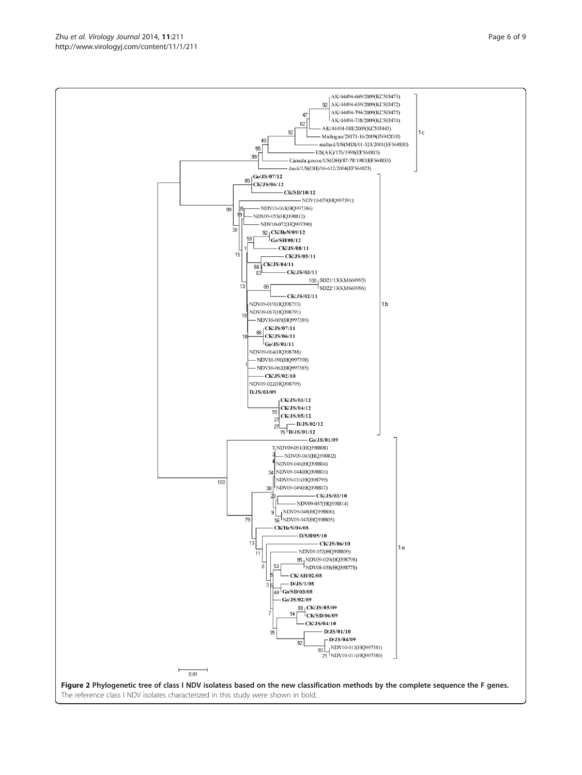The reference class I NDV isolates characterized in this study were shown in bold.

<span id="page-5-0"></span>

AK/44494-669/2009(KC503473).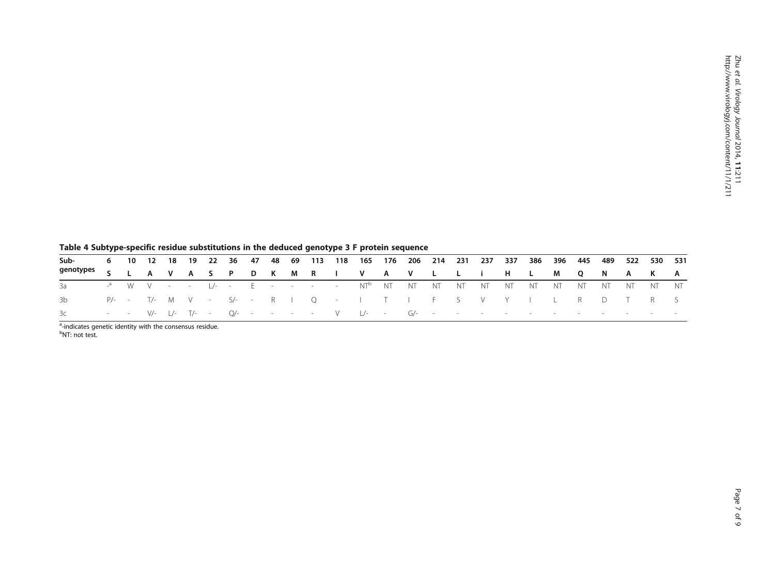|                                      | Table 4 Subtype-specific residue substitutions in the deduced genotype 3 F protein sequence |  |  |  |  |  |  |  |  |  |  |  |  |  |  |  |  |  |                                                                                                                       |  |
|--------------------------------------|---------------------------------------------------------------------------------------------|--|--|--|--|--|--|--|--|--|--|--|--|--|--|--|--|--|-----------------------------------------------------------------------------------------------------------------------|--|
| Sub-                                 |                                                                                             |  |  |  |  |  |  |  |  |  |  |  |  |  |  |  |  |  | 6  10  12  18  19  22  36  47  48  69  113  118  165  176  206  214  231  237  337  386  396  445  489  522  530  531 |  |
| genotypes SLAVASPDKMRIVAVLLIHLMQNAKA |                                                                                             |  |  |  |  |  |  |  |  |  |  |  |  |  |  |  |  |  |                                                                                                                       |  |
|                                      |                                                                                             |  |  |  |  |  |  |  |  |  |  |  |  |  |  |  |  |  |                                                                                                                       |  |
| 3b.                                  |                                                                                             |  |  |  |  |  |  |  |  |  |  |  |  |  |  |  |  |  | P/-- T/- M V - S/-- R I Q - I T I F S V Y I L R D T R S                                                               |  |
| 3c —                                 |                                                                                             |  |  |  |  |  |  |  |  |  |  |  |  |  |  |  |  |  | --- V/-  /- T/- - O/----- - V  /-- G/--------------------------                                                       |  |

<span id="page-6-0"></span>

<sup>a</sup>-indicates genetic identity with the consensus residue.<br><sup>b</sup>NT: not test.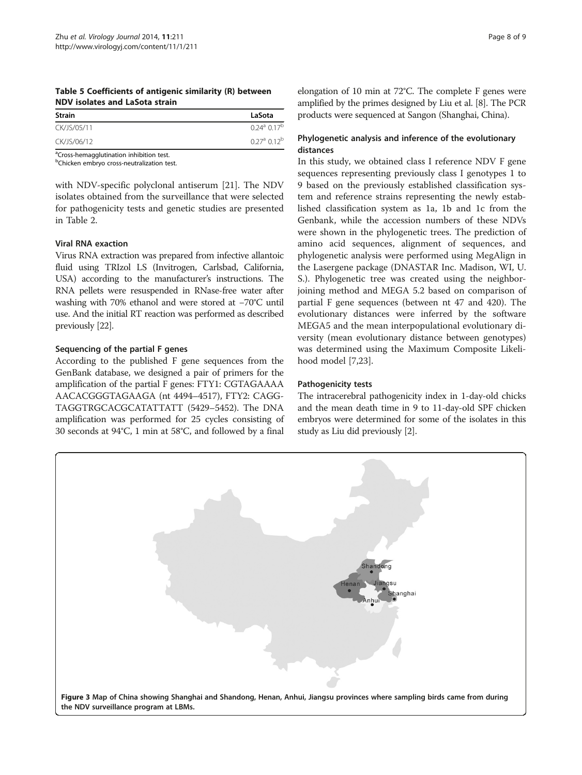<span id="page-7-0"></span>Table 5 Coefficients of antigenic similarity (R) between NDV isolates and LaSota strain

| Strain      | LaSota                              |
|-------------|-------------------------------------|
| CK/JS/05/11 | $0.24^{\circ}$ 0.17 <sup>b</sup>    |
| CK/JS/06/12 | $0.27^{\text{a}}$ 0.12 <sup>b</sup> |

<sup>a</sup>Cross-hemagglutination inhibition test.

<sup>b</sup>Chicken embryo cross-neutralization test.

with NDV-specific polyclonal antiserum [\[21](#page-8-0)]. The NDV isolates obtained from the surveillance that were selected for pathogenicity tests and genetic studies are presented in Table [2.](#page-2-0)

## Viral RNA exaction

Virus RNA extraction was prepared from infective allantoic fluid using TRIzol LS (Invitrogen, Carlsbad, California, USA) according to the manufacturer's instructions. The RNA pellets were resuspended in RNase-free water after washing with 70% ethanol and were stored at −70°C until use. And the initial RT reaction was performed as described previously [\[22](#page-8-0)].

## Sequencing of the partial F genes

According to the published F gene sequences from the GenBank database, we designed a pair of primers for the amplification of the partial F genes: FTY1: CGTAGAAAA AACACGGGTAGAAGA (nt 4494–4517), FTY2: CAGG-TAGGTRGCACGCATATTATT (5429–5452). The DNA amplification was performed for 25 cycles consisting of 30 seconds at 94°C, 1 min at 58°C, and followed by a final elongation of 10 min at 72°C. The complete F genes were amplified by the primes designed by Liu et al. [[8](#page-8-0)]. The PCR products were sequenced at Sangon (Shanghai, China).

# Phylogenetic analysis and inference of the evolutionary distances

In this study, we obtained class I reference NDV F gene sequences representing previously class I genotypes 1 to 9 based on the previously established classification system and reference strains representing the newly established classification system as 1a, 1b and 1c from the Genbank, while the accession numbers of these NDVs were shown in the phylogenetic trees. The prediction of amino acid sequences, alignment of sequences, and phylogenetic analysis were performed using MegAlign in the Lasergene package (DNASTAR Inc. Madison, WI, U. S.). Phylogenetic tree was created using the neighborjoining method and MEGA 5.2 based on comparison of partial F gene sequences (between nt 47 and 420). The evolutionary distances were inferred by the software MEGA5 and the mean interpopulational evolutionary diversity (mean evolutionary distance between genotypes) was determined using the Maximum Composite Likelihood model [[7,23\]](#page-8-0).

## Pathogenicity tests

The intracerebral pathogenicity index in 1-day-old chicks and the mean death time in 9 to 11-day-old SPF chicken embryos were determined for some of the isolates in this study as Liu did previously [[2\]](#page-8-0).